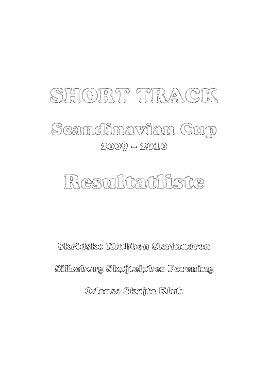

# 2009 – 2010 Scandinavian Cup

# Resultatliste

Silkeborg Skøjteløber Forening Odense Skøjte Klub Skridsko Klubben Skrinnaren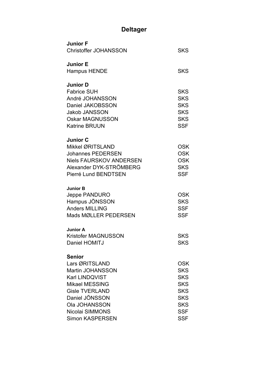# **Deltager**

| <b>Junior F</b><br><b>Christoffer JOHANSSON</b>                                                                                                                                                                       | SKS                                                                                                                        |
|-----------------------------------------------------------------------------------------------------------------------------------------------------------------------------------------------------------------------|----------------------------------------------------------------------------------------------------------------------------|
| <b>Junior E</b><br><b>Hampus HENDE</b>                                                                                                                                                                                | <b>SKS</b>                                                                                                                 |
| <b>Junior D</b><br><b>Fabrice SUH</b><br>André JOHANSSON<br>Daniel JAKOBSSON<br><b>Jakob JANSSON</b><br><b>Oskar MAGNUSSON</b><br><b>Katrine BRUUN</b>                                                                | <b>SKS</b><br><b>SKS</b><br><b>SKS</b><br><b>SKS</b><br><b>SKS</b><br><b>SSF</b>                                           |
| <b>Junior C</b><br>Mikkel ØRITSLAND<br><b>Johannes PEDERSEN</b><br><b>Niels FAURSKOV ANDERSEN</b><br>Alexander DYK-STRÖMBERG<br>Pierré Lund BENDTSEN                                                                  | <b>OSK</b><br><b>OSK</b><br><b>OSK</b><br><b>SKS</b><br><b>SSF</b>                                                         |
| <b>Junior B</b><br>Jeppe PANDURO<br>Hampus JÖNSSON<br><b>Anders MILLING</b><br>Mads MØLLER PEDERSEN                                                                                                                   | <b>OSK</b><br><b>SKS</b><br><b>SSF</b><br><b>SSF</b>                                                                       |
| <b>Junior A</b><br><b>Kristofer MAGNUSSON</b><br>Daniel HOMITJ                                                                                                                                                        | <b>SKS</b><br>SKS                                                                                                          |
| <b>Senior</b><br>Lars ØRITSLAND<br><b>Martin JOHANSSON</b><br><b>Karl LINDQVIST</b><br><b>Mikael MESSING</b><br><b>Gisle TVERLAND</b><br>Daniel JÖNSSON<br>Ola JOHANSSON<br>Nicolai SIMMONS<br><b>Simon KASPERSEN</b> | <b>OSK</b><br><b>SKS</b><br><b>SKS</b><br><b>SKS</b><br><b>SKS</b><br><b>SKS</b><br><b>SKS</b><br><b>SSF</b><br><b>SSF</b> |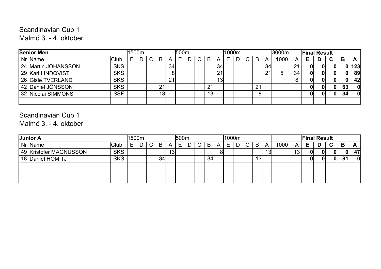#### Malmö 3. - 4. oktober Scandinavian Cup 1

| <b>Senior Men</b>                 | 1500m |    |    |    | <b>500m</b> |  |    |                 | 1000m |  |                |    | 3000m |             | <b>Final Result</b> |   |    |    |           |
|-----------------------------------|-------|----|----|----|-------------|--|----|-----------------|-------|--|----------------|----|-------|-------------|---------------------|---|----|----|-----------|
| Nr Name<br>'Club                  |       | C. | В  | A  | Е           |  | B  | A               | F     |  | B              | A  | 1000  | A           | Е                   | D | C. | в  |           |
| <b>SKS</b><br>24 Martin JOHANSSON |       |    |    | 34 |             |  |    | 34 <sub>l</sub> |       |  |                | 34 |       | $2^{\cdot}$ | OI                  |   |    |    | 123       |
| <b>SKS</b><br>29 Karl LINDQVIST   |       |    |    | 81 |             |  |    | 21              |       |  |                | 21 |       | 34          | N                   |   |    |    | <b>89</b> |
| <b>SKS</b><br>26 Gisle TVERLAND   |       |    |    | 21 |             |  |    | 13 <sub>l</sub> |       |  |                |    |       |             |                     |   |    |    | 42        |
| <b>SKS</b><br>42 Daniel JÖNSSON   |       |    | 21 |    |             |  | 21 |                 |       |  | 21             |    |       |             |                     |   |    | 63 | 0l        |
| <b>SSF</b><br>32 Nicolai SIMMONS  |       |    | 13 |    |             |  | 13 |                 |       |  | 8 <sub>l</sub> |    |       |             |                     |   |    | 34 | -Ol       |
|                                   |       |    |    |    |             |  |    |                 |       |  |                |    |       |             |                     |   |    |    |           |

# Scandinavian Cup 1

Malmö 3. - 4. oktober

| Junior A               |             |   | 1500m |              |    |                 | 500m |   |                    |    | 1000m |   |    |    |      |     |   | <b>Final Result</b> |   |    |    |
|------------------------|-------------|---|-------|--------------|----|-----------------|------|---|--------------------|----|-------|---|----|----|------|-----|---|---------------------|---|----|----|
| Nr Name                | <b>Club</b> | ⊢ | ח     | $\mathsf{C}$ | B  | Α               | Е    | D | $\curvearrowright$ | B  | -     | C | B  | Α  | 1000 | Α   |   | D                   | C | B  |    |
| 49 Kristofer MAGNUSSON | <b>SKS</b>  |   |       |              |    | 13 <sub>l</sub> |      |   |                    |    |       |   |    | 13 |      | د ا | 0 |                     |   | 0  | 47 |
| 18 Daniel HOMITJ       | <b>SKS</b>  |   |       |              | 34 |                 |      |   |                    | 34 |       |   | 13 |    |      |     |   |                     | 0 | 81 | 0  |
|                        |             |   |       |              |    |                 |      |   |                    |    |       |   |    |    |      |     |   |                     |   |    |    |
|                        |             |   |       |              |    |                 |      |   |                    |    |       |   |    |    |      |     |   |                     |   |    |    |
|                        |             |   |       |              |    |                 |      |   |                    |    |       |   |    |    |      |     |   |                     |   |    |    |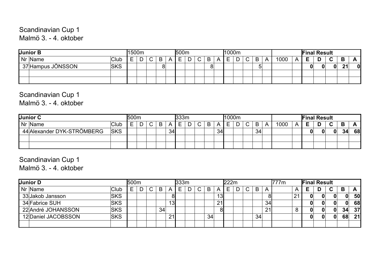Scandinavian Cup 1 Malmö 3. - 4. oktober

| <b>Junior B</b>   |            | l1500m |   |        |   |               | 500m        |   |   |   | 11000m |             |        |      |   |   | <b>Final Result</b> |              |    |   |
|-------------------|------------|--------|---|--------|---|---------------|-------------|---|---|---|--------|-------------|--------|------|---|---|---------------------|--------------|----|---|
| Nr Name           | Club       | -      | - | $\sim$ | B | $\rightarrow$ | -<br>⊢<br>─ | - | ີ | B |        | $\sim$<br>ັ | B      | 1000 | Д |   |                     | $\sim$<br>ີ  | B  |   |
| 37 Hampus JÖNSSON | <b>SKS</b> |        |   |        | О |               |             |   |   | 8 |        |             | ∽<br>ີ |      |   | 0 |                     | $\mathbf{0}$ | 21 | O |
|                   |            |        |   |        |   |               |             |   |   |   |        |             |        |      |   |   |                     |              |    |   |
|                   |            |        |   |        |   |               |             |   |   |   |        |             |        |      |   |   |                     |              |    |   |

#### Scandinavian Cup 1

Malmö 3. - 4. oktober

| Junior C                   |            | !500m |   |        |   |    | <b>333m</b> |   |   |   |    | 1000m  |   |    |   |      |          | <b>Final Result</b> |   |                   |    |    |
|----------------------------|------------|-------|---|--------|---|----|-------------|---|---|---|----|--------|---|----|---|------|----------|---------------------|---|-------------------|----|----|
| Nr Name                    | Club       | _     | ∽ | $\sim$ | B | Α  | ᄃ           | ∍ | ⌒ | B |    | -<br>– | ∽ | B  | Α | 1000 | $\Delta$ | E                   | D | $\mathbf{\Gamma}$ | В  |    |
| 44 Alexander DYK-STRÖMBERG | <b>SKS</b> |       |   |        |   | 34 |             |   |   |   | 34 |        |   | 34 |   |      |          | 01                  |   | $\mathbf{0}$      | 34 | 68 |
|                            |            |       |   |        |   |    |             |   |   |   |    |        |   |    |   |      |          |                     |   |                   |    |    |
|                            |            |       |   |        |   |    |             |   |   |   |    |        |   |    |   |      |          |                     |   |                   |    |    |

Scandinavian Cup 1

Malmö 3. - 4. oktober

| Junior D            |            | 500m |        |    |    | 333 <sub>m</sub> |   |        |    |    | 222m |        |    |    | <b>777m</b> |                | <b>Final Result</b> |   |    |    |           |
|---------------------|------------|------|--------|----|----|------------------|---|--------|----|----|------|--------|----|----|-------------|----------------|---------------------|---|----|----|-----------|
| Nr Name             | 'Club      | ⊢    | $\sim$ | B  | А  | ┕                | D | $\sim$ | B  |    |      | $\sim$ | B  | A  |             | $\overline{A}$ | Е                   | D | C. | B  | A         |
| 33 Jakob Jansson    | <b>SKS</b> |      |        |    | 81 |                  |   |        |    | 13 |      |        |    | 81 |             | 21             |                     |   |    | 0  | <b>50</b> |
| 34 Fabrice SUH      | <b>SKS</b> |      |        |    | 13 |                  |   |        |    | 21 |      |        |    | 34 |             |                |                     |   |    | 0  | <b>68</b> |
| 22 André JOHANSSON  | <b>SKS</b> |      |        | 34 |    |                  |   |        |    | 81 |      |        |    | 21 |             |                |                     |   | 0  | 34 | 37        |
| 12 Daniel JACOBSSON | <b>SKS</b> |      |        |    | 21 |                  |   |        | 34 |    |      |        | 34 |    |             |                |                     |   |    | 68 | 21        |
|                     |            |      |        |    |    |                  |   |        |    |    |      |        |    |    |             |                |                     |   |    |    |           |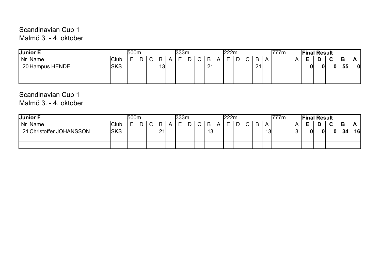Scandinavian Cup 1 Malmö 3. - 4. oktober

| Junior E        |            | <b>500m</b> |        |   |    | l333m  |   |        |    | '222m |               |    |   | '777m |  | <b>Final Result</b> |             |        |              |
|-----------------|------------|-------------|--------|---|----|--------|---|--------|----|-------|---------------|----|---|-------|--|---------------------|-------------|--------|--------------|
| Nr Name         | 'Club      |             | ∽<br>− | ⌒ | B  | ┍<br>─ | - | ⌒<br>ັ | B  |       | <b>^</b><br>◡ | B  | A |       |  |                     | $\sim$<br>ັ | Ð<br>D |              |
| 20 Hampus HENDE | <b>SKS</b> |             |        |   | 13 |        |   |        | 21 |       |               | 21 |   |       |  |                     | O.          | 55     | $\mathbf{0}$ |
|                 |            |             |        |   |    |        |   |        |    |       |               |    |   |       |  |                     |             |        |              |
|                 |            |             |        |   |    |        |   |        |    |       |               |    |   |       |  |                     |             |        |              |

# Scandinavian Cup 1

Malmö 3. - 4. oktober

| Junior F                 |             | <b>500m</b> |                               |    |   | 333m        |   |        |                 | '222m |        |   |           | '777m | <b>Final Result</b> |             |    |    |
|--------------------------|-------------|-------------|-------------------------------|----|---|-------------|---|--------|-----------------|-------|--------|---|-----------|-------|---------------------|-------------|----|----|
| Nr Name                  | <b>Club</b> |             | ~<br>$\overline{\phantom{a}}$ | B  | Α | ┍<br>-<br>– | ∽ | ⌒<br>ັ | B               |       | ~<br>◡ | B | A         |       | −                   | $\sim$<br>ັ | B  |    |
| 21 Christoffer JOHANSSON | <b>SKS</b>  |             |                               | 21 |   |             |   |        | 13 <sub>1</sub> |       |        |   | 10<br>ں ا |       | 0                   | 0           | 34 | 16 |
|                          |             |             |                               |    |   |             |   |        |                 |       |        |   |           |       |                     |             |    |    |
|                          |             |             |                               |    |   |             |   |        |                 |       |        |   |           |       |                     |             |    |    |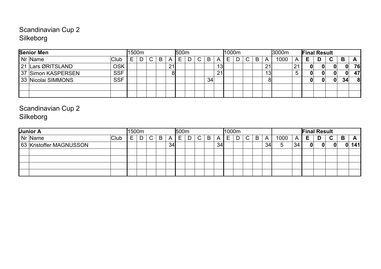#### Silkeborg Scandinavian Cup 2

| <b>Senior Men</b>  |            | l1500m |              |   |    | <b>500m</b> |  |                 |                 | 1000m |   |              |   |    | 3000m |            | <b>Final Result</b> |              |    |    |
|--------------------|------------|--------|--------------|---|----|-------------|--|-----------------|-----------------|-------|---|--------------|---|----|-------|------------|---------------------|--------------|----|----|
| Nr Name            | Club       |        | $\mathsf{C}$ | B | Α  | E           |  | B               |                 | E.    | D | $\mathsf{C}$ | B | A  | 1000  |            | Е                   | C.           | B  | A  |
| 21 Lars ØRITSLAND  | <b>OSK</b> |        |              |   | 21 |             |  |                 | 13 <sub>l</sub> |       |   |              |   | 21 |       | $\epsilon$ |                     |              |    | 76 |
| 37 Simon KASPERSEN | <b>SSF</b> |        |              |   |    |             |  |                 | 21              |       |   |              |   | 13 |       |            |                     |              |    | 47 |
| 33 Nicolai SIMMONS | <b>SSF</b> |        |              |   |    |             |  | 34 <sub>1</sub> |                 |       |   |              |   |    |       |            |                     | $\mathbf{0}$ | 34 |    |
|                    |            |        |              |   |    |             |  |                 |                 |       |   |              |   |    |       |            |                     |              |    |    |
|                    |            |        |              |   |    |             |  |                 |                 |       |   |              |   |    |       |            |                     |              |    |    |

Scandinavian Cup 2 Silkeborg

| Junior A                |       | 1500m |   |        |   |    | 500 <sub>m</sub> |   |   |   |                |        | <b>1000m</b> |    |   |    |      |                |    | <b>Final Result</b> |    |   |          |
|-------------------------|-------|-------|---|--------|---|----|------------------|---|---|---|----------------|--------|--------------|----|---|----|------|----------------|----|---------------------|----|---|----------|
| Nr Name                 | 'Club |       | ח | $\sim$ | B | A  | ᆮ                | r | ◠ | B | $\overline{a}$ | -<br>⊢ |              | C. | B | A  | 1000 | $\overline{A}$ | E. | D                   | C. | В | <u>r</u> |
| 63 Kristoffer MAGNUSSON |       |       |   |        |   | 34 |                  |   |   |   | 34             |        |              |    |   | 34 |      | 34             |    |                     |    | 0 | 141      |
|                         |       |       |   |        |   |    |                  |   |   |   |                |        |              |    |   |    |      |                |    |                     |    |   |          |
|                         |       |       |   |        |   |    |                  |   |   |   |                |        |              |    |   |    |      |                |    |                     |    |   |          |
|                         |       |       |   |        |   |    |                  |   |   |   |                |        |              |    |   |    |      |                |    |                     |    |   |          |
|                         |       |       |   |        |   |    |                  |   |   |   |                |        |              |    |   |    |      |                |    |                     |    |   |          |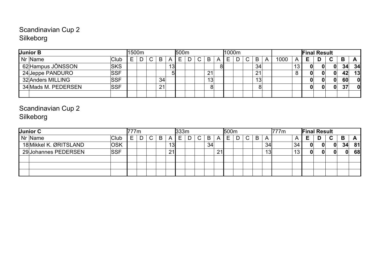#### Scandinavian Cup 2 Silkeborg

| Junior B            |                   | 1500m |   |    |                 | <b>500m</b> |  |                 | l1000m |   |    |   |      |    |    | <b>Final Result</b> |    |    |              |
|---------------------|-------------------|-------|---|----|-----------------|-------------|--|-----------------|--------|---|----|---|------|----|----|---------------------|----|----|--------------|
| Nr Name             | Club <sup>l</sup> |       | n | B  | A               | E.          |  | B               |        | ⌒ | B  | Α | 1000 | A  | E. |                     | C. | B  |              |
| 62 Hampus JÖNSSON   | <b>SKS</b>        |       |   |    | 13 <sub>l</sub> |             |  |                 |        |   | 34 |   |      | 13 | 0  |                     | 0  | 34 | 34           |
| 24 Jeppe PANDURO    | <b>SSF</b>        |       |   |    |                 |             |  | 21              |        |   | 21 |   |      |    | 0  |                     | 0  | 42 | 13           |
| 32 Anders MILLING   | <b>SSF</b>        |       |   | 34 |                 |             |  | 13 <sub>1</sub> |        |   | 13 |   |      |    | 0  |                     | 0  | 60 | $\mathbf{0}$ |
| 34 Mads M. PEDERSEN | <b>SSF</b>        |       |   | 21 |                 |             |  | 8 <sup>1</sup>  |        |   | 8  |   |      |    | 0  |                     | 0  | 37 | $\mathbf{0}$ |
|                     |                   |       |   |    |                 |             |  |                 |        |   |    |   |      |    |    |                     |    |    |              |

## Scandinavian Cup 2 Silkeborg

| Junior C               |            | 777m |    |   |                 | $l$ 333 $m$ |   |    |    | 500 <sub>m</sub> |    |   |    | 777m |    | <b>Final Result</b> |   |    |    |           |
|------------------------|------------|------|----|---|-----------------|-------------|---|----|----|------------------|----|---|----|------|----|---------------------|---|----|----|-----------|
| Nr Name                | Club       |      | C. | В | Α               | ⊢           | ◠ | B  | А  |                  | C. | B | A  |      |    | Е                   | D | C. | B  | Ē         |
| 18 Mikkel K. ØRITSLAND | <b>OSK</b> |      |    |   | 13 <sup>l</sup> |             |   | 34 |    |                  |    |   | 34 |      | 34 | 01                  |   | 0  | 34 | <b>81</b> |
| 29 Johannes PEDERSEN   | <b>SSF</b> |      |    |   | 21              |             |   |    | 21 |                  |    |   | 13 |      |    | 01                  |   |    | 0  | 68        |
|                        |            |      |    |   |                 |             |   |    |    |                  |    |   |    |      |    |                     |   |    |    |           |
|                        |            |      |    |   |                 |             |   |    |    |                  |    |   |    |      |    |                     |   |    |    |           |
|                        |            |      |    |   |                 |             |   |    |    |                  |    |   |    |      |    |                     |   |    |    |           |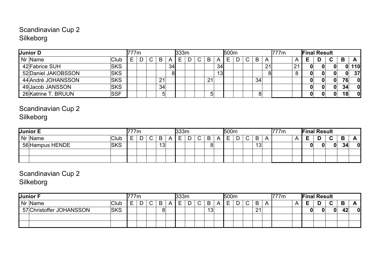#### Scandinavian Cup 2 Silkeborg

| <b>Junior D</b>     |            | 777m |    |    |    | 333m |  |    |                 | <b>500m</b> |  |                |    | <b>777m</b> |    | <b>Final Result</b> |    |    |            |
|---------------------|------------|------|----|----|----|------|--|----|-----------------|-------------|--|----------------|----|-------------|----|---------------------|----|----|------------|
| Nr Name             | 'Club      |      | C. | B  | A  | ⊢    |  | B  |                 | ᄃ           |  | B              | A  |             |    | Е                   | C. | B. | A          |
| 42 Fabrice SUH      | <b>SKS</b> |      |    |    | 34 |      |  |    | 34              |             |  |                | 21 |             | 21 | 0                   |    |    | <b>110</b> |
| 52 Daniel JAKOBSSON | <b>SKS</b> |      |    |    | 81 |      |  |    | 13 <sub>l</sub> |             |  |                |    |             |    | 0                   |    | 0  | 37         |
| 44 André JOHANSSON  | <b>SKS</b> |      |    | 21 |    |      |  | 21 |                 |             |  | 34             |    |             |    |                     |    | 76 | - Ol       |
| 49 Jacob JANSSON    | <b>SKS</b> |      |    | 34 |    |      |  |    |                 |             |  |                |    |             |    |                     | 01 | 34 | - Ol       |
| 26 Katrine T. BRUUN | <b>SSF</b> |      |    | 5  |    |      |  | 5  |                 |             |  | 8 <sup>1</sup> |    |             |    | 0                   | 01 | 18 | - Ol       |

## Scandinavian Cup 2 Silkeborg

| <b>Junior E</b> |             |   | 7m |        |    |            | l333m  |        |   |         | l500m |   |    |   | 777m |     |    | <b>Final Result</b> |        |        |    |
|-----------------|-------------|---|----|--------|----|------------|--------|--------|---|---------|-------|---|----|---|------|-----|----|---------------------|--------|--------|----|
| Nr Name         | <b>Club</b> | _ |    | $\sim$ | B  | $\sqrt{ }$ | –<br>─ | -<br>− | ⌒ | B       | ─     | - | B  | A |      | . . | -  | n<br>◡              | $\sim$ | Ð<br>D |    |
| 56 Hampus HENDE | <b>SKS</b>  |   |    |        | 13 |            |        |        |   | О<br>οı |       |   | 13 |   |      |     | 01 |                     | 0      | 34     | 01 |
|                 |             |   |    |        |    |            |        |        |   |         |       |   |    |   |      |     |    |                     |        |        |    |
|                 |             |   |    |        |    |            |        |        |   |         |       |   |    |   |      |     |    |                     |        |        |    |

# Scandinavian Cup 2

Silkeborg

| <b>Junior F</b>          |            | 333m<br>7m<br>-<br>B<br>$\overline{\phantom{0}}$<br>$\sim$<br>A<br>►<br>◡<br>– |  |  |        |  |        |   |        |    | <b>500m</b> |        |    |              | 777m |   | <b>Final Result</b> |   |             |         |            |
|--------------------------|------------|--------------------------------------------------------------------------------|--|--|--------|--|--------|---|--------|----|-------------|--------|----|--------------|------|---|---------------------|---|-------------|---------|------------|
| Nr Name                  | Club       |                                                                                |  |  |        |  | ⊏<br>– | ∽ | $\sim$ | B  | -           | $\sim$ | B  | $\mathsf{A}$ |      | n | -                   | ш | $\sim$<br>ື | Ð<br>D. | $\sqrt{ }$ |
| 57 Christoffer JOHANSSON | <b>SKS</b> |                                                                                |  |  | Ο<br>O |  |        |   |        | 13 |             |        | 21 |              |      |   |                     |   | $\Omega$    | 42      | 0          |
|                          |            |                                                                                |  |  |        |  |        |   |        |    |             |        |    |              |      |   |                     |   |             |         |            |
|                          |            |                                                                                |  |  |        |  |        |   |        |    |             |        |    |              |      |   |                     |   |             |         |            |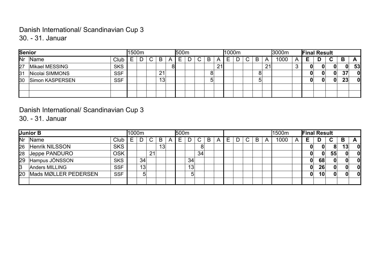# Danish International/ Scandinavian Cup 3

30. - 31. Januar

| Senior       |                 |            | 1500m |   |    |   | 500m |   |   |    | 1000m |           |   |    | 3000m |   | <b>Final Result</b> |              |    |              |
|--------------|-----------------|------------|-------|---|----|---|------|---|---|----|-------|-----------|---|----|-------|---|---------------------|--------------|----|--------------|
| <b>INr</b>   | Name            | Club       | ⊢     | ~ | B  | A | ⊢    | ັ | B | A  |       | $\bullet$ | B | A  | 1000  | A |                     | $\sim$<br>u  | В  | $\mathbf{A}$ |
| 27           | Mikael MESSING  | <b>SKS</b> |       |   |    |   |      |   |   | 21 |       |           |   | 21 |       |   | 0                   | 0            | 0  | 53           |
| 31           | Nicolai SIMMONS | <b>SSF</b> |       |   | 21 |   |      |   | 8 |    |       |           |   |    |       |   | 0                   | 0            | 37 | $\mathbf{0}$ |
| $ 30\rangle$ | Simon KASPERSEN | <b>SSF</b> |       |   | 13 |   |      |   | ა |    |       |           |   |    |       |   | 0                   | $\mathbf{0}$ | 23 | $\mathbf{0}$ |
|              |                 |            |       |   |    |   |      |   |   |    |       |           |   |    |       |   |                     |              |    |              |
|              |                 |            |       |   |    |   |      |   |   |    |       |           |   |    |       |   |                     |              |    |              |

#### Danish International/ Scandinavian Cup 3

30. - 31. Januar

|             | Junior B              |            | 1000m |    |    |                 |   | 500 <sub>m</sub> |    |    |   |   |   |                   |   |   | 1500m |   | <b>Final Result</b> |    |              |              |              |
|-------------|-----------------------|------------|-------|----|----|-----------------|---|------------------|----|----|---|---|---|-------------------|---|---|-------|---|---------------------|----|--------------|--------------|--------------|
| <b>I</b> Nr | Name                  | Club       | ⊢     |    |    | B               | A | ⊢                |    |    | B | A | ⊢ | r<br>$\mathbf{v}$ | B | A | 1000  | A | ь.                  | D  | C.           | B            | A            |
| 26          | <b>Henrik NILSSON</b> | <b>SKS</b> |       |    |    | 13 <sub>l</sub> |   |                  |    | 8  |   |   |   |                   |   |   |       |   | 0                   |    | 8            | 13           | $\mathbf{0}$ |
| 28          | Jeppe PANDURO         | <b>OSK</b> |       |    | 21 |                 |   |                  |    | 34 |   |   |   |                   |   |   |       |   | 0                   | 0  | 55           | $\mathbf{0}$ | 0            |
| 29          | Hampus JÖNSSON        | <b>SKS</b> |       | 34 |    |                 |   |                  | 34 |    |   |   |   |                   |   |   |       |   | 0                   | 68 | $\mathbf{0}$ | $\mathbf{0}$ | 0            |
| 3           | Anders MILLING        | <b>SSF</b> |       | 13 |    |                 |   |                  | 13 |    |   |   |   |                   |   |   |       |   | Ωl                  | 26 | $\mathbf{0}$ | $\mathbf{0}$ | 0            |
| l20         | Mads MØLLER PEDERSEN  | <b>SSF</b> |       | 5  |    |                 |   |                  | 5  |    |   |   |   |                   |   |   |       |   | 0                   | 10 | $\mathbf{0}$ | $\mathbf{0}$ | 0            |
|             |                       |            |       |    |    |                 |   |                  |    |    |   |   |   |                   |   |   |       |   |                     |    |              |              |              |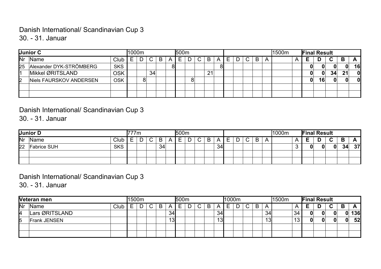# Danish International/ Scandinavian Cup 3

30. - 31. Januar

|                 | Junior C                |            | 1000m |   |        |   |   | l500m |   |    |    |  |    |   |   | 1500m | <b>Final Result</b> |    |    |    |              |
|-----------------|-------------------------|------------|-------|---|--------|---|---|-------|---|----|----|--|----|---|---|-------|---------------------|----|----|----|--------------|
| <b>INr</b>      | <b>Name</b>             | Club       | ⊢     |   | $\sim$ | B | A | ⊢     | ⌒ | B  |    |  | C. | B | A |       |                     |    | С  | в  |              |
| 25 <sub>2</sub> | Alexander DYK-STRÖMBERG | <b>SKS</b> |       |   |        |   |   |       |   |    | 81 |  |    |   |   |       | 0                   |    |    | 0  | 16           |
| 11              | Mikkel ØRITSLAND        | <b>OSK</b> |       |   | 34     |   |   |       |   | 21 |    |  |    |   |   |       | OI                  | 0  | 34 | 21 | $\mathbf{0}$ |
| $\mathsf{I}2$   | Niels FAURSKOV ANDERSEN | <b>OSK</b> |       | 8 |        |   |   |       |   |    |    |  |    |   |   |       | 01                  | 16 | 0  |    | 0            |
|                 |                         |            |       |   |        |   |   |       |   |    |    |  |    |   |   |       |                     |    |    |    |              |
|                 |                         |            |       |   |        |   |   |       |   |    |    |  |    |   |   |       |                     |    |    |    |              |

#### Danish International/ Scandinavian Cup 3

30. - 31. Januar

|    | Junior D           |            |               | 77m |   |    |   | 500m   |        |   |   |            |               |                               |   |   | 1000m | <b>Final Result</b> |   |              |    |           |
|----|--------------------|------------|---------------|-----|---|----|---|--------|--------|---|---|------------|---------------|-------------------------------|---|---|-------|---------------------|---|--------------|----|-----------|
| Nr | Name               | Club       | -<br><u>_</u> |     | ~ | B  | n | -<br>– | -<br>ٮ | ັ | B | $\sqrt{ }$ | –<br><u>_</u> | ~<br>$\overline{\phantom{a}}$ | B | A |       | -                   | D | $\sim$       | В  |           |
| 22 | <b>Fabrice SUH</b> | <b>SKS</b> |               |     |   | 34 |   |        |        |   |   | 34         |               |                               |   |   |       | 01                  |   | $\mathbf{0}$ | 34 | <b>37</b> |
|    |                    |            |               |     |   |    |   |        |        |   |   |            |               |                               |   |   |       |                     |   |              |    |           |
|    |                    |            |               |     |   |    |   |        |        |   |   |            |               |                               |   |   |       |                     |   |              |    |           |

#### Danish International/ Scandinavian Cup 3

30. - 31. Januar

|                           | Veteran men         |      | 1500m |   |   |     | <b>500m</b> |   |   |                 | 1000m |   |   |           | 1500m |    |   | <b>Final Result</b> |   |   |     |
|---------------------------|---------------------|------|-------|---|---|-----|-------------|---|---|-----------------|-------|---|---|-----------|-------|----|---|---------------------|---|---|-----|
| $\overline{\mathsf{N}}$ r | Name                | Club |       | ~ | В | A   | ⊢           | ັ | B |                 |       | ັ | B | A         |       |    | Е | D                   | ~ | В |     |
| 14                        | Lars ØRITSLAND      |      |       |   |   | 34  |             |   |   | 34 <sub>1</sub> |       |   |   | 34        |       | 34 |   |                     |   |   | 136 |
| 15                        | <b>Frank JENSEN</b> |      |       |   |   | ں ا |             |   |   | 13              |       |   |   | 12<br>ں ا |       | ╵┙ |   |                     |   |   | 52  |
|                           |                     |      |       |   |   |     |             |   |   |                 |       |   |   |           |       |    |   |                     |   |   |     |
|                           |                     |      |       |   |   |     |             |   |   |                 |       |   |   |           |       |    |   |                     |   |   |     |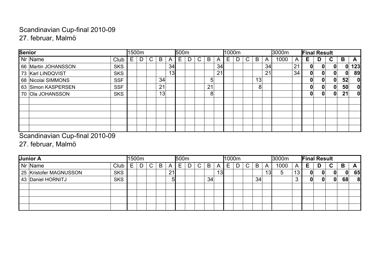## 27. februar, Malmö Scandinavian Cup-final 2010-09

| <b>Senior</b>                     | 1500m |    |    |    | 500m |    |                |                |   | 1000m |    |    |    | 3000m |    | <b>Final Result</b> |   |   |              |          |
|-----------------------------------|-------|----|----|----|------|----|----------------|----------------|---|-------|----|----|----|-------|----|---------------------|---|---|--------------|----------|
| Nr Name<br>Club                   | E.    | C. | B  | A  | E    | C. | B              | $\overline{A}$ | Е |       | C. | B  | A  | 1000  | A  | Е                   | D | C | B            | A        |
| <b>SKS</b><br>66 Martin JOHANSSON |       |    |    | 34 |      |    |                | 34             |   |       |    |    | 34 |       | 21 | 01                  | 0 | 0 | 0            | 123      |
| <b>SKS</b><br>73 Karl LINDQVIST   |       |    |    | 13 |      |    |                | 21             |   |       |    |    | 21 |       | 34 | 0                   | 0 | 0 | $\mathbf{0}$ | 89       |
| <b>SSF</b><br>68 Nicolai SIMMONS  |       |    | 34 |    |      |    | 5 <sup>1</sup> |                |   |       |    | 13 |    |       |    | 0                   | 0 | 0 | 52           | <b>0</b> |
| <b>SSF</b><br>63 Simon KASPERSEN  |       |    | 21 |    |      |    | 21             |                |   |       |    | 8  |    |       |    | 0                   | 0 | 0 | 50           | 0l       |
| <b>SKS</b><br>70 Ola JOHANSSON    |       |    | 13 |    |      |    | 8 <sup>°</sup> |                |   |       |    |    |    |       |    | 0                   | 0 | 0 | 21           | 0l       |
|                                   |       |    |    |    |      |    |                |                |   |       |    |    |    |       |    |                     |   |   |              |          |
|                                   |       |    |    |    |      |    |                |                |   |       |    |    |    |       |    |                     |   |   |              |          |
|                                   |       |    |    |    |      |    |                |                |   |       |    |    |    |       |    |                     |   |   |              |          |
|                                   |       |    |    |    |      |    |                |                |   |       |    |    |    |       |    |                     |   |   |              |          |
|                                   |       |    |    |    |      |    |                |                |   |       |    |    |    |       |    |                     |   |   |              |          |

#### Scandinavian Cup-final 2010-09

#### 27. februar, Malmö

| Junior A               |            |          | 1500m |    |   |    | 500m |        |    |                | 1000m |    |    |    | 3000m |    | <b>Final Result</b> |   |    |    |    |
|------------------------|------------|----------|-------|----|---|----|------|--------|----|----------------|-------|----|----|----|-------|----|---------------------|---|----|----|----|
| Nr Name                | Club       | <b>E</b> |       | C. | B | A  | E    | ⌒<br>◡ | B  | $\overline{A}$ | Е.    | C. | B  | A  | 1000  | A  | Е                   | D | C  | B  | A  |
| 25 Kristofer MAGNUSSON | <b>SKS</b> |          |       |    |   | 21 |      |        |    | 13             |       |    |    | 13 | 5     | 13 | O                   |   |    | 0  | 65 |
| 43 Daniel HORNITJ      | <b>SKS</b> |          |       |    |   | ы  |      |        | 34 |                |       |    | 34 |    |       |    | 0                   |   | O. | 68 | 8  |
|                        |            |          |       |    |   |    |      |        |    |                |       |    |    |    |       |    |                     |   |    |    |    |
|                        |            |          |       |    |   |    |      |        |    |                |       |    |    |    |       |    |                     |   |    |    |    |
|                        |            |          |       |    |   |    |      |        |    |                |       |    |    |    |       |    |                     |   |    |    |    |
|                        |            |          |       |    |   |    |      |        |    |                |       |    |    |    |       |    |                     |   |    |    |    |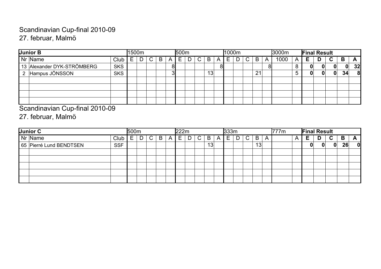## Scandinavian Cup-final 2010-09 27. februar, Malmö

| Junior B                   |            | 1500m |    |   |    | 500m |    |                 |   |   | 1000m |    |    |   | 3000m |   | <b>Final Result</b> |   |    |    |    |
|----------------------------|------------|-------|----|---|----|------|----|-----------------|---|---|-------|----|----|---|-------|---|---------------------|---|----|----|----|
| Nr Name                    | Club       | ⊢.    | C. | B | A  | E.   | C. | B               | A | ► |       | C. | B  | A | 1000  | A | Е                   | D | C. | B  | A  |
| 13 Alexander DYK-STRÖMBERG | <b>SKS</b> |       |    |   | 81 |      |    |                 | 8 |   |       |    |    |   |       |   | 0                   |   |    | 0  | 32 |
| 2 Hampus JÖNSSON           | <b>SKS</b> |       |    |   | ופ |      |    | 13 <sub>1</sub> |   |   |       |    | 21 |   |       |   | 01                  |   | 0  | 34 | 8  |
|                            |            |       |    |   |    |      |    |                 |   |   |       |    |    |   |       |   |                     |   |    |    |    |
|                            |            |       |    |   |    |      |    |                 |   |   |       |    |    |   |       |   |                     |   |    |    |    |
|                            |            |       |    |   |    |      |    |                 |   |   |       |    |    |   |       |   |                     |   |    |    |    |
|                            |            |       |    |   |    |      |    |                 |   |   |       |    |    |   |       |   |                     |   |    |    |    |

Scandinavian Cup-final 2010-09

27. februar, Malmö

| Junior C                | 500m<br>Club<br>C.<br>B<br>A<br><u>—</u><br><b>SSF</b> |  |  |  |  |  | 1222m |   |    |    |   | 333m |    |    |                | 777m |                | <b>Final Result</b> |   |              |    |   |
|-------------------------|--------------------------------------------------------|--|--|--|--|--|-------|---|----|----|---|------|----|----|----------------|------|----------------|---------------------|---|--------------|----|---|
| Nr Name                 |                                                        |  |  |  |  |  | ᄂ     | D | C. | B  | A | ⊢.   | C. | B  | $\overline{A}$ |      | $\overline{A}$ | Е                   | D | C            | B  | A |
| 65 Pierré Lund BENDTSEN |                                                        |  |  |  |  |  |       |   |    | 13 |   |      |    | 13 |                |      |                |                     | n | $\mathbf{0}$ | 26 | 0 |
|                         |                                                        |  |  |  |  |  |       |   |    |    |   |      |    |    |                |      |                |                     |   |              |    |   |
|                         |                                                        |  |  |  |  |  |       |   |    |    |   |      |    |    |                |      |                |                     |   |              |    |   |
|                         |                                                        |  |  |  |  |  |       |   |    |    |   |      |    |    |                |      |                |                     |   |              |    |   |
|                         |                                                        |  |  |  |  |  |       |   |    |    |   |      |    |    |                |      |                |                     |   |              |    |   |
|                         |                                                        |  |  |  |  |  |       |   |    |    |   |      |    |    |                |      |                |                     |   |              |    |   |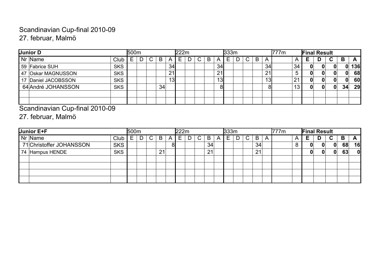## Scandinavian Cup-final 2010-09 27. februar, Malmö

| Junior D            |            | 500m |    |    |                 | 1222m |  |   |                 | 333m |  |   |           | 777m |                | <b>Final Result</b> |   |              |    |     |
|---------------------|------------|------|----|----|-----------------|-------|--|---|-----------------|------|--|---|-----------|------|----------------|---------------------|---|--------------|----|-----|
| Nr Name             | Club       |      | C. | B  | A               | ⊢     |  | B |                 | ⊢    |  | B | A         |      | $\overline{A}$ | Е                   | D | C            | В  | A   |
| 59 Fabrice SUH      | <b>SKS</b> |      |    |    | 34 <sub>l</sub> |       |  |   | 34              |      |  |   | 34        |      | 34             | OI                  |   | O            |    | 136 |
| 47 Oskar MAGNUSSON  | <b>SKS</b> |      |    |    | 21              |       |  |   | 21              |      |  |   | 21        |      | b              | OI                  |   | O            | 0  | 68  |
| 17 Daniel JACOBSSON | <b>SKS</b> |      |    |    | 13              |       |  |   | 13 <sub>l</sub> |      |  |   | <u>13</u> |      | 21             | 01                  |   | O.           | 0  | 60  |
| 64 André JOHANSSON  | <b>SKS</b> |      |    | 34 |                 |       |  |   | 81              |      |  |   | 81        |      | 10<br>د ا      | OI                  |   | $\mathbf{0}$ | 34 | 29  |
|                     |            |      |    |    |                 |       |  |   |                 |      |  |   |           |      |                |                     |   |              |    |     |
|                     |            |      |    |    |                 |       |  |   |                 |      |  |   |           |      |                |                     |   |              |    |     |

Scandinavian Cup-final 2010-09

27. februar, Malmö

| Junior E+F                             | <b>500m</b> |    |    |    | 22m |   |    |   | 333m   |    |    |   | 777m |                | <b>Final Result</b> |   |    |    |    |
|----------------------------------------|-------------|----|----|----|-----|---|----|---|--------|----|----|---|------|----------------|---------------------|---|----|----|----|
| Nr Name<br>Club                        | ►           | C. | B  | A  | ᄂ   | U | B  | A | -<br>Е | C. | B  | A |      | $\overline{A}$ | Е                   | D | C. | B  | A  |
| 71 Christoffer JOHANSSON<br><b>SKS</b> |             |    |    | 81 |     |   | 34 |   |        |    | 34 |   |      |                | 0                   |   | 0  | 68 | 16 |
| <b>SKS</b><br>74 Hampus HENDE          |             |    | 21 |    |     |   | 21 |   |        |    | 21 |   |      |                | 0                   | 0 | 0  | 63 | 0  |
|                                        |             |    |    |    |     |   |    |   |        |    |    |   |      |                |                     |   |    |    |    |
|                                        |             |    |    |    |     |   |    |   |        |    |    |   |      |                |                     |   |    |    |    |
|                                        |             |    |    |    |     |   |    |   |        |    |    |   |      |                |                     |   |    |    |    |
|                                        |             |    |    |    |     |   |    |   |        |    |    |   |      |                |                     |   |    |    |    |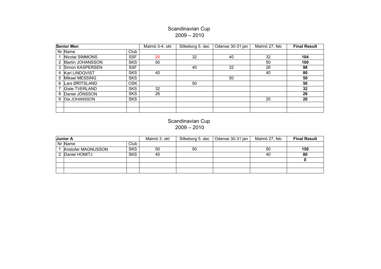#### 2009 – 2010 Scandinavian Cup

| <b>Senior Men</b>     |            | Malmö 3-4. okt | Silkeborg 5. dec | Odense 30-31 jan | Malmö 27, feb | <b>Final Result</b> |
|-----------------------|------------|----------------|------------------|------------------|---------------|---------------------|
| Nr Name               | Club       |                |                  |                  |               |                     |
| Nicolai SIMMONS       | <b>SSF</b> | 20             | 32               | 40               | 32            | 104                 |
| 2 Martin JOHANSSON    | <b>SKS</b> | 50             |                  |                  | 50            | 100                 |
| 3 Simon KASPERSEN     | <b>SSF</b> |                | 40               | 32               | 26            | 98                  |
| 4 Karl LINDQVIST      | <b>SKS</b> | 40             |                  |                  | 40            | 80                  |
| 5 Mikael MESSING      | <b>SKS</b> |                |                  | 50               |               | 50                  |
| 6 Lars ØRITSLAND      | <b>OSK</b> |                | 50               |                  |               | 50                  |
| <b>Gisle TVERLAND</b> | <b>SKS</b> | 32             |                  |                  |               | 32                  |
| 8 Daniel JÖNSSON      | <b>SKS</b> | 26             |                  |                  |               | 26                  |
| 9 Ola JOHANSSON       | <b>SKS</b> |                |                  |                  | 20            | 20                  |
|                       |            |                |                  |                  |               |                     |
|                       |            |                |                  |                  |               |                     |

#### Scandinavian Cup 2009 – 2010

| Junior A |                     |            | Malmö 3. okt | Silkeborg 5. dec | Odense 30-31 jan | Malmö 27, feb | <b>Final Result</b> |
|----------|---------------------|------------|--------------|------------------|------------------|---------------|---------------------|
|          | $Nr$ Name           | Club       |              |                  |                  |               |                     |
|          | Kristofer MAGNUSSON | <b>SKS</b> | 50           | 50               |                  | 50            | 150                 |
|          | 2 Daniel HOMITJ     | <b>SKS</b> | 40           |                  |                  | 40            | 80                  |
|          |                     |            |              |                  |                  |               |                     |
|          |                     |            |              |                  |                  |               |                     |
|          |                     |            |              |                  |                  |               |                     |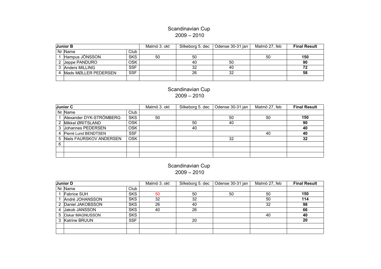#### Scandinavian Cup 2009 – 2010

| Junior B               |            | Malmö 3. okt | Silkeborg 5. dec | Odense 30-31 jan | Malmö 27, feb | <b>Final Result</b> |
|------------------------|------------|--------------|------------------|------------------|---------------|---------------------|
| Nr Name                | Club       |              |                  |                  |               |                     |
| Hampus JÖNSSON         | <b>SKS</b> | 50           | 50               |                  | 50            | 150                 |
| 2 Jeppe PANDURO        | <b>OSK</b> |              | 40               | 50               |               | 90                  |
| 3 Anders MILLING       | <b>SSF</b> |              | 32               | 40               |               | 72                  |
| 4 Mads MØLLER PEDERSEN | <b>SSF</b> |              | 26               | 32               |               | 58                  |
|                        |            |              |                  |                  |               |                     |

#### Scandinavian Cup 2009 – 2010

|   | Junior C                  |            | Malmö 3. okt | Silkeborg 5. dec | Odense 30-31 jan | Malmö 27, feb | <b>Final Result</b> |
|---|---------------------------|------------|--------------|------------------|------------------|---------------|---------------------|
|   | Nr Name                   | Club       |              |                  |                  |               |                     |
|   | Alexander DYK-STRÖMBERG   | <b>SKS</b> | 50           |                  | 50               | 50            | 150                 |
|   | 2 Mikkel ØRITSLAND        | <b>OSK</b> |              | 50               | 40               |               | 90                  |
|   | 3 Johannes PEDERSEN       | 0SK        |              | 40               |                  |               | 40                  |
|   | 4 Pierré Lund BENDTSEN    | <b>SSF</b> |              |                  |                  | 40            | 40                  |
|   | 5 Niels FAURSKOV ANDERSEN | <b>OSK</b> |              |                  | 32               |               | 32                  |
| 6 |                           |            |              |                  |                  |               |                     |
|   |                           |            |              |                  |                  |               |                     |
|   |                           |            |              |                  |                  |               |                     |

#### Scandinavian Cup 2009 – 2010

| Junior D           |            | Malmö 3. okt | Silkeborg 5. dec | Odense 30-31 jan | Malmö 27, feb | <b>Final Result</b> |
|--------------------|------------|--------------|------------------|------------------|---------------|---------------------|
| Nr Name            | Club       |              |                  |                  |               |                     |
| Fabrice SUH        | <b>SKS</b> | 50           | 50               | 50               | 50            | 150                 |
| André JOHANSSON    | <b>SKS</b> | 32           | 32               |                  | 50            | 114                 |
| 2 Daniel JAKOBSSON | <b>SKS</b> | 26           | 40               |                  | 32            | 98                  |
| 4 Jakob JANSSON    | <b>SKS</b> | 40           | 26               |                  |               | 66                  |
| 5 Oskar MAGNUSSON  | <b>SKS</b> |              |                  |                  | 40            | 40                  |
| 3 Katrine BRUUN    | <b>SSF</b> |              | 20               |                  |               | 20                  |
|                    |            |              |                  |                  |               |                     |
|                    |            |              |                  |                  |               |                     |